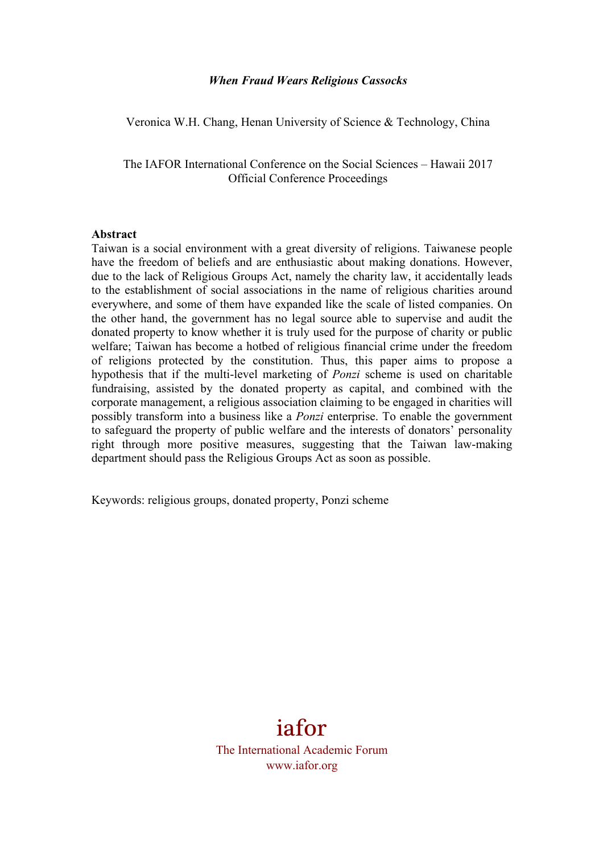#### *When Fraud Wears Religious Cassocks*

Veronica W.H. Chang, Henan University of Science & Technology, China

The IAFOR International Conference on the Social Sciences – Hawaii 2017 Official Conference Proceedings

#### **Abstract**

Taiwan is a social environment with a great diversity of religions. Taiwanese people have the freedom of beliefs and are enthusiastic about making donations. However, due to the lack of Religious Groups Act, namely the charity law, it accidentally leads to the establishment of social associations in the name of religious charities around everywhere, and some of them have expanded like the scale of listed companies. On the other hand, the government has no legal source able to supervise and audit the donated property to know whether it is truly used for the purpose of charity or public welfare; Taiwan has become a hotbed of religious financial crime under the freedom of religions protected by the constitution. Thus, this paper aims to propose a hypothesis that if the multi-level marketing of *Ponzi* scheme is used on charitable fundraising, assisted by the donated property as capital, and combined with the corporate management, a religious association claiming to be engaged in charities will possibly transform into a business like a *Ponzi* enterprise. To enable the government to safeguard the property of public welfare and the interests of donators' personality right through more positive measures, suggesting that the Taiwan law-making department should pass the Religious Groups Act as soon as possible.

Keywords: religious groups, donated property, Ponzi scheme

# iafor

The International Academic Forum www.iafor.org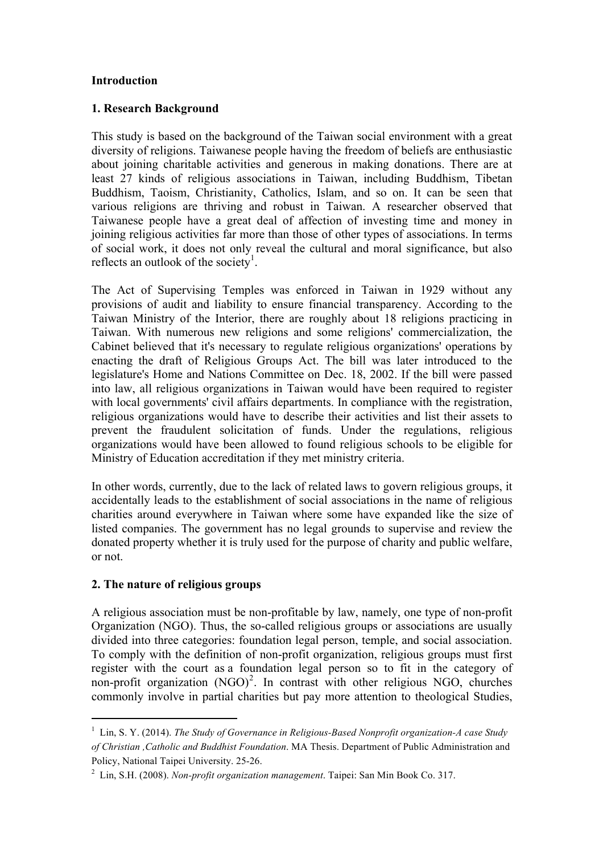#### **Introduction**

#### **1. Research Background**

This study is based on the background of the Taiwan social environment with a great diversity of religions. Taiwanese people having the freedom of beliefs are enthusiastic about joining charitable activities and generous in making donations. There are at least 27 kinds of religious associations in Taiwan, including Buddhism, Tibetan Buddhism, Taoism, Christianity, Catholics, Islam, and so on. It can be seen that various religions are thriving and robust in Taiwan. A researcher observed that Taiwanese people have a great deal of affection of investing time and money in joining religious activities far more than those of other types of associations. In terms of social work, it does not only reveal the cultural and moral significance, but also reflects an outlook of the society<sup>1</sup>.

The Act of Supervising Temples was enforced in Taiwan in 1929 without any provisions of audit and liability to ensure financial transparency. According to the Taiwan Ministry of the Interior, there are roughly about 18 religions practicing in Taiwan. With numerous new religions and some religions' commercialization, the Cabinet believed that it's necessary to regulate religious organizations' operations by enacting the draft of Religious Groups Act. The bill was later introduced to the legislature's Home and Nations Committee on Dec. 18, 2002. If the bill were passed into law, all religious organizations in Taiwan would have been required to register with local governments' civil affairs departments. In compliance with the registration, religious organizations would have to describe their activities and list their assets to prevent the fraudulent solicitation of funds. Under the regulations, religious organizations would have been allowed to found religious schools to be eligible for Ministry of Education accreditation if they met ministry criteria.

In other words, currently, due to the lack of related laws to govern religious groups, it accidentally leads to the establishment of social associations in the name of religious charities around everywhere in Taiwan where some have expanded like the size of listed companies. The government has no legal grounds to supervise and review the donated property whether it is truly used for the purpose of charity and public welfare, or not.

## **2. The nature of religious groups**

A religious association must be non-profitable by law, namely, one type of non-profit Organization (NGO). Thus, the so-called religious groups or associations are usually divided into three categories: foundation legal person, temple, and social association. To comply with the definition of non-profit organization, religious groups must first register with the court as a foundation legal person so to fit in the category of non-profit organization  $(NGO)^2$ . In contrast with other religious NGO, churches commonly involve in partial charities but pay more attention to theological Studies,

<sup>1</sup> Lin, S. Y. (2014). *The Study of Governance in Religious-Based Nonprofit organization-A case Study of Christian ,Catholic and Buddhist Foundation*. MA Thesis. Department of Public Administration and Policy, National Taipei University. 25-26.

<sup>2</sup> Lin, S.H. (2008). *Non-profit organization management*. Taipei: San Min Book Co. 317.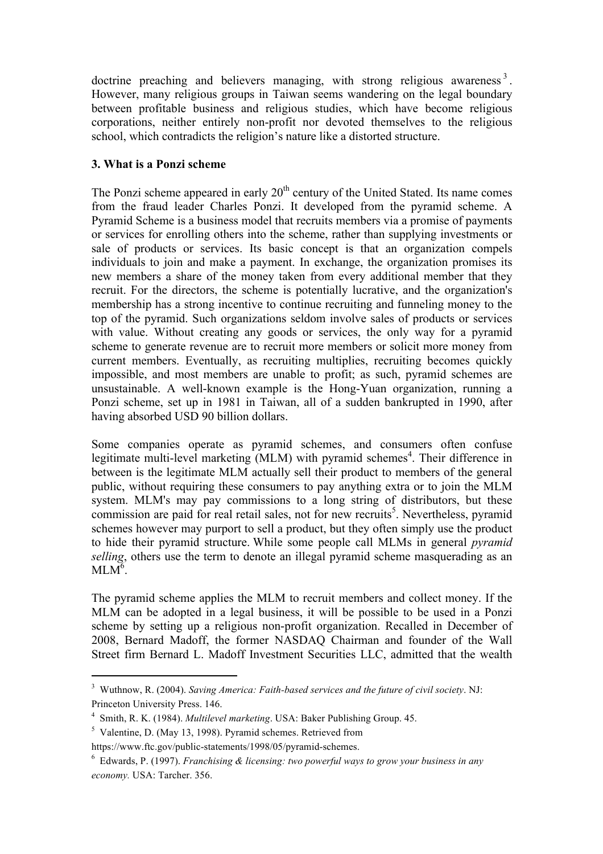doctrine preaching and believers managing, with strong religious awareness<sup>3</sup>. However, many religious groups in Taiwan seems wandering on the legal boundary between profitable business and religious studies, which have become religious corporations, neither entirely non-profit nor devoted themselves to the religious school, which contradicts the religion's nature like a distorted structure.

#### **3. What is a Ponzi scheme**

The Ponzi scheme appeared in early  $20<sup>th</sup>$  century of the United Stated. Its name comes from the fraud leader Charles Ponzi. It developed from the pyramid scheme. A Pyramid Scheme is a business model that recruits members via a promise of payments or services for enrolling others into the scheme, rather than supplying investments or sale of products or services. Its basic concept is that an organization compels individuals to join and make a payment. In exchange, the organization promises its new members a share of the money taken from every additional member that they recruit. For the directors, the scheme is potentially lucrative, and the organization's membership has a strong incentive to continue recruiting and funneling money to the top of the pyramid. Such organizations seldom involve sales of products or services with value. Without creating any goods or services, the only way for a pyramid scheme to generate revenue are to recruit more members or solicit more money from current members. Eventually, as recruiting multiplies, recruiting becomes quickly impossible, and most members are unable to profit; as such, pyramid schemes are unsustainable. A well-known example is the Hong-Yuan organization, running a Ponzi scheme, set up in 1981 in Taiwan, all of a sudden bankrupted in 1990, after having absorbed USD 90 billion dollars.

Some companies operate as pyramid schemes, and consumers often confuse legitimate multi-level marketing (MLM) with pyramid schemes<sup>4</sup>. Their difference in between is the legitimate MLM actually sell their product to members of the general public, without requiring these consumers to pay anything extra or to join the MLM system. MLM's may pay commissions to a long string of distributors, but these commission are paid for real retail sales, not for new recruits<sup>5</sup>. Nevertheless, pyramid schemes however may purport to sell a product, but they often simply use the product to hide their pyramid structure. While some people call MLMs in general *pyramid selling*, others use the term to denote an illegal pyramid scheme masquerading as an  $MLM<sup>6</sup>$ .

The pyramid scheme applies the MLM to recruit members and collect money. If the MLM can be adopted in a legal business, it will be possible to be used in a Ponzi scheme by setting up a religious non-profit organization. Recalled in December of 2008, Bernard Madoff, the former NASDAQ Chairman and founder of the Wall Street firm Bernard L. Madoff Investment Securities LLC, admitted that the wealth

<sup>3</sup> Wuthnow, R. (2004). *Saving America: Faith-based services and the future of civil society*. NJ: Princeton University Press. 146.

<sup>&</sup>lt;sup>4</sup> Smith, R. K. (1984). *Multilevel marketing*. USA: Baker Publishing Group. 45.<br><sup>5</sup> Valentine, D. (May 13, 1998). Pyramid schemes. Retrieved from

https://www.ftc.gov/public-statements/1998/05/pyramid-schemes.

<sup>6</sup> Edwards, P. (1997). *Franchising & licensing: two powerful ways to grow your business in any economy.* USA: Tarcher. 356.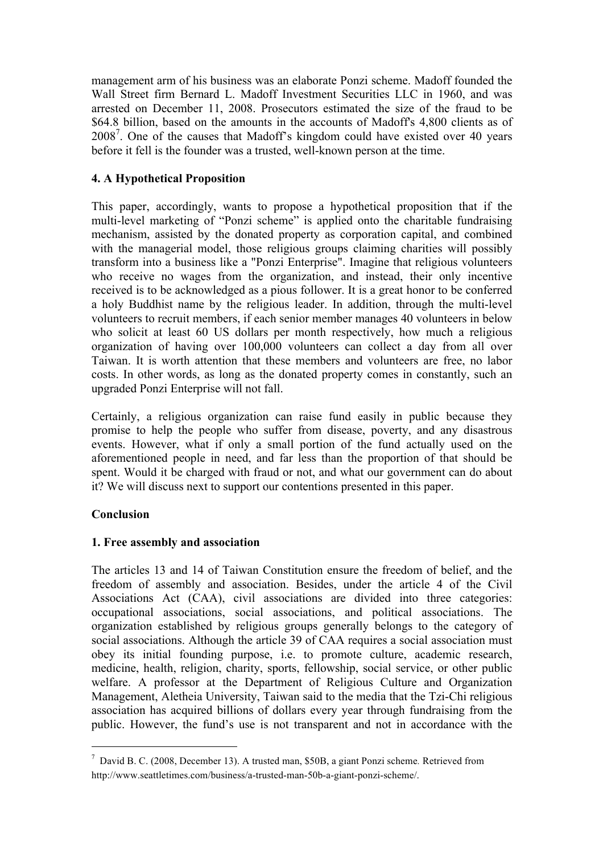management arm of his business was an elaborate Ponzi scheme. Madoff founded the Wall Street firm Bernard L. Madoff Investment Securities LLC in 1960, and was arrested on December 11, 2008. Prosecutors estimated the size of the fraud to be \$64.8 billion, based on the amounts in the accounts of Madoff's 4,800 clients as of 2008<sup>7</sup>. One of the causes that Madoff's kingdom could have existed over 40 years before it fell is the founder was a trusted, well-known person at the time.

# **4. A Hypothetical Proposition**

This paper, accordingly, wants to propose a hypothetical proposition that if the multi-level marketing of "Ponzi scheme" is applied onto the charitable fundraising mechanism, assisted by the donated property as corporation capital, and combined with the managerial model, those religious groups claiming charities will possibly transform into a business like a "Ponzi Enterprise". Imagine that religious volunteers who receive no wages from the organization, and instead, their only incentive received is to be acknowledged as a pious follower. It is a great honor to be conferred a holy Buddhist name by the religious leader. In addition, through the multi-level volunteers to recruit members, if each senior member manages 40 volunteers in below who solicit at least 60 US dollars per month respectively, how much a religious organization of having over 100,000 volunteers can collect a day from all over Taiwan. It is worth attention that these members and volunteers are free, no labor costs. In other words, as long as the donated property comes in constantly, such an upgraded Ponzi Enterprise will not fall.

Certainly, a religious organization can raise fund easily in public because they promise to help the people who suffer from disease, poverty, and any disastrous events. However, what if only a small portion of the fund actually used on the aforementioned people in need, and far less than the proportion of that should be spent. Would it be charged with fraud or not, and what our government can do about it? We will discuss next to support our contentions presented in this paper.

## **Conclusion**

## **1. Free assembly and association**

 

The articles 13 and 14 of Taiwan Constitution ensure the freedom of belief, and the freedom of assembly and association. Besides, under the article 4 of the Civil Associations Act (CAA), civil associations are divided into three categories: occupational associations, social associations, and political associations. The organization established by religious groups generally belongs to the category of social associations. Although the article 39 of CAA requires a social association must obey its initial founding purpose, i.e. to promote culture, academic research, medicine, health, religion, charity, sports, fellowship, social service, or other public welfare. A professor at the Department of Religious Culture and Organization Management, Aletheia University, Taiwan said to the media that the Tzi-Chi religious association has acquired billions of dollars every year through fundraising from the public. However, the fund's use is not transparent and not in accordance with the

<sup>7</sup> David B. C. (2008, December 13). A trusted man, \$50B, a giant Ponzi scheme*.* Retrieved from http://www.seattletimes.com/business/a-trusted-man-50b-a-giant-ponzi-scheme/.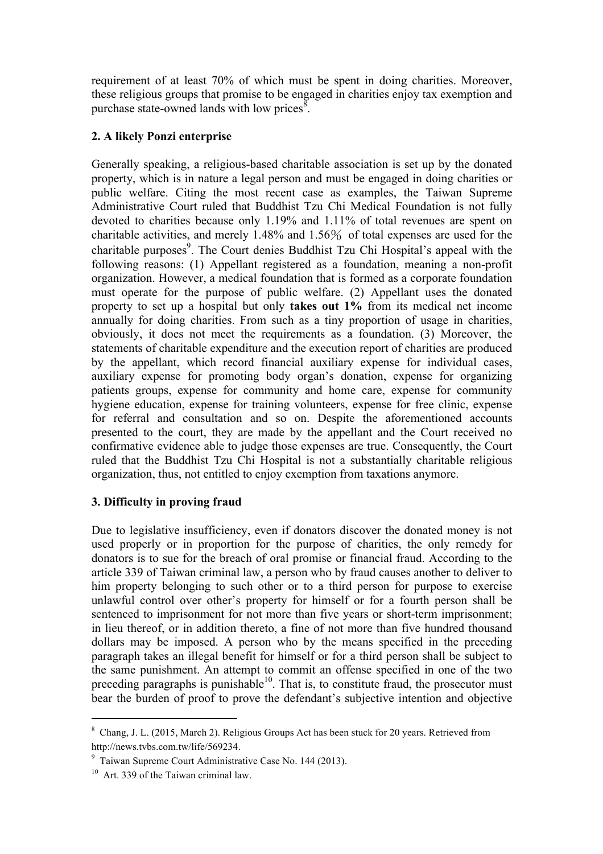requirement of at least 70% of which must be spent in doing charities. Moreover, these religious groups that promise to be engaged in charities enjoy tax exemption and purchase state-owned lands with low prices $\overline{\text{S}}$ .

# **2. A likely Ponzi enterprise**

Generally speaking, a religious-based charitable association is set up by the donated property, which is in nature a legal person and must be engaged in doing charities or public welfare. Citing the most recent case as examples, the Taiwan Supreme Administrative Court ruled that Buddhist Tzu Chi Medical Foundation is not fully devoted to charities because only 1.19% and 1.11% of total revenues are spent on charitable activities, and merely 1.48% and 1.56% of total expenses are used for the charitable purposes<sup>9</sup>. The Court denies Buddhist Tzu Chi Hospital's appeal with the following reasons: (1) Appellant registered as a foundation, meaning a non-profit organization. However, a medical foundation that is formed as a corporate foundation must operate for the purpose of public welfare. (2) Appellant uses the donated property to set up a hospital but only **takes out 1%** from its medical net income annually for doing charities. From such as a tiny proportion of usage in charities, obviously, it does not meet the requirements as a foundation. (3) Moreover, the statements of charitable expenditure and the execution report of charities are produced by the appellant, which record financial auxiliary expense for individual cases, auxiliary expense for promoting body organ's donation, expense for organizing patients groups, expense for community and home care, expense for community hygiene education, expense for training volunteers, expense for free clinic, expense for referral and consultation and so on. Despite the aforementioned accounts presented to the court, they are made by the appellant and the Court received no confirmative evidence able to judge those expenses are true. Consequently, the Court ruled that the Buddhist Tzu Chi Hospital is not a substantially charitable religious organization, thus, not entitled to enjoy exemption from taxations anymore.

# **3. Difficulty in proving fraud**

Due to legislative insufficiency, even if donators discover the donated money is not used properly or in proportion for the purpose of charities, the only remedy for donators is to sue for the breach of oral promise or financial fraud. According to the article 339 of Taiwan criminal law, a person who by fraud causes another to deliver to him property belonging to such other or to a third person for purpose to exercise unlawful control over other's property for himself or for a fourth person shall be sentenced to imprisonment for not more than five years or short-term imprisonment; in lieu thereof, or in addition thereto, a fine of not more than five hundred thousand dollars may be imposed. A person who by the means specified in the preceding paragraph takes an illegal benefit for himself or for a third person shall be subject to the same punishment. An attempt to commit an offense specified in one of the two preceding paragraphs is punishable<sup>10</sup>. That is, to constitute fraud, the prosecutor must bear the burden of proof to prove the defendant's subjective intention and objective

<sup>8</sup> Chang, J. L. (2015, March 2). Religious Groups Act has been stuck for 20 years. Retrieved from http://news.tvbs.com.tw/life/569234.

<sup>9</sup> Taiwan Supreme Court Administrative Case No. 144 (2013).

 $10$  Art. 339 of the Taiwan criminal law.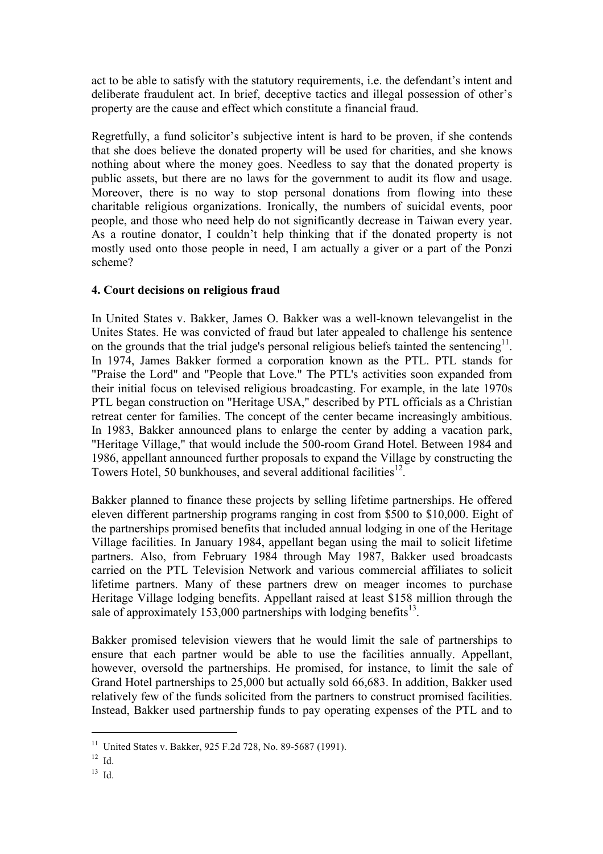act to be able to satisfy with the statutory requirements, i.e. the defendant's intent and deliberate fraudulent act. In brief, deceptive tactics and illegal possession of other's property are the cause and effect which constitute a financial fraud.

Regretfully, a fund solicitor's subjective intent is hard to be proven, if she contends that she does believe the donated property will be used for charities, and she knows nothing about where the money goes. Needless to say that the donated property is public assets, but there are no laws for the government to audit its flow and usage. Moreover, there is no way to stop personal donations from flowing into these charitable religious organizations. Ironically, the numbers of suicidal events, poor people, and those who need help do not significantly decrease in Taiwan every year. As a routine donator, I couldn't help thinking that if the donated property is not mostly used onto those people in need, I am actually a giver or a part of the Ponzi scheme?

## **4. Court decisions on religious fraud**

In United States v. Bakker, James O. Bakker was a well-known televangelist in the Unites States. He was convicted of fraud but later appealed to challenge his sentence on the grounds that the trial judge's personal religious beliefs tainted the sentencing<sup>11</sup>. In 1974, James Bakker formed a corporation known as the PTL. PTL stands for "Praise the Lord" and "People that Love." The PTL's activities soon expanded from their initial focus on televised religious broadcasting. For example, in the late 1970s PTL began construction on "Heritage USA," described by PTL officials as a Christian retreat center for families. The concept of the center became increasingly ambitious. In 1983, Bakker announced plans to enlarge the center by adding a vacation park, "Heritage Village," that would include the 500-room Grand Hotel. Between 1984 and 1986, appellant announced further proposals to expand the Village by constructing the Towers Hotel, 50 bunkhouses, and several additional facilities<sup>12</sup>.

Bakker planned to finance these projects by selling lifetime partnerships. He offered eleven different partnership programs ranging in cost from \$500 to \$10,000. Eight of the partnerships promised benefits that included annual lodging in one of the Heritage Village facilities. In January 1984, appellant began using the mail to solicit lifetime partners. Also, from February 1984 through May 1987, Bakker used broadcasts carried on the PTL Television Network and various commercial affiliates to solicit lifetime partners. Many of these partners drew on meager incomes to purchase Heritage Village lodging benefits. Appellant raised at least \$158 million through the sale of approximately 153,000 partnerships with lodging benefits<sup>13</sup>.

Bakker promised television viewers that he would limit the sale of partnerships to ensure that each partner would be able to use the facilities annually. Appellant, however, oversold the partnerships. He promised, for instance, to limit the sale of Grand Hotel partnerships to 25,000 but actually sold 66,683. In addition, Bakker used relatively few of the funds solicited from the partners to construct promised facilities. Instead, Bakker used partnership funds to pay operating expenses of the PTL and to

<sup>&</sup>lt;sup>11</sup> United States v. Bakker, 925 F.2d 728, No. 89-5687 (1991).<br><sup>12</sup> <sub>Id</sub>

 $13$  Id.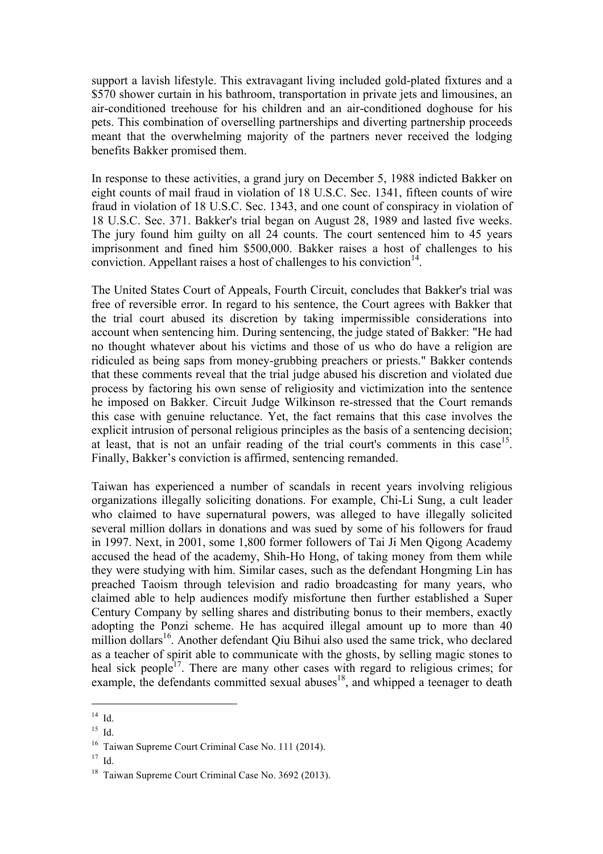support a lavish lifestyle. This extravagant living included gold-plated fixtures and a \$570 shower curtain in his bathroom, transportation in private jets and limousines, an air-conditioned treehouse for his children and an air-conditioned doghouse for his pets. This combination of overselling partnerships and diverting partnership proceeds meant that the overwhelming majority of the partners never received the lodging benefits Bakker promised them.

In response to these activities, a grand jury on December 5, 1988 indicted Bakker on eight counts of mail fraud in violation of 18 U.S.C. Sec. 1341, fifteen counts of wire fraud in violation of 18 U.S.C. Sec. 1343, and one count of conspiracy in violation of 18 U.S.C. Sec. 371. Bakker's trial began on August 28, 1989 and lasted five weeks. The jury found him guilty on all 24 counts. The court sentenced him to 45 years imprisonment and fined him \$500,000. Bakker raises a host of challenges to his conviction. Appellant raises a host of challenges to his conviction $14$ .

The United States Court of Appeals, Fourth Circuit, concludes that Bakker's trial was free of reversible error. In regard to his sentence, the Court agrees with Bakker that the trial court abused its discretion by taking impermissible considerations into account when sentencing him. During sentencing, the judge stated of Bakker: "He had no thought whatever about his victims and those of us who do have a religion are ridiculed as being saps from money-grubbing preachers or priests." Bakker contends that these comments reveal that the trial judge abused his discretion and violated due process by factoring his own sense of religiosity and victimization into the sentence he imposed on Bakker. Circuit Judge Wilkinson re-stressed that the Court remands this case with genuine reluctance. Yet, the fact remains that this case involves the explicit intrusion of personal religious principles as the basis of a sentencing decision; at least, that is not an unfair reading of the trial court's comments in this case<sup>15</sup>. Finally, Bakker's conviction is affirmed, sentencing remanded.

Taiwan has experienced a number of scandals in recent years involving religious organizations illegally soliciting donations. For example, Chi-Li Sung, a cult leader who claimed to have supernatural powers, was alleged to have illegally solicited several million dollars in donations and was sued by some of his followers for fraud in 1997. Next, in 2001, some 1,800 former followers of Tai Ji Men Qigong Academy accused the head of the academy, Shih-Ho Hong, of taking money from them while they were studying with him. Similar cases, such as the defendant Hongming Lin has preached Taoism through television and radio broadcasting for many years, who claimed able to help audiences modify misfortune then further established a Super Century Company by selling shares and distributing bonus to their members, exactly adopting the Ponzi scheme. He has acquired illegal amount up to more than 40 million dollars<sup>16</sup>. Another defendant Qiu Bihui also used the same trick, who declared as a teacher of spirit able to communicate with the ghosts, by selling magic stones to heal sick people<sup>17</sup>. There are many other cases with regard to religious crimes; for example, the defendants committed sexual abuses $18$ , and whipped a teenager to death

 $14$  Id.

<sup>&</sup>lt;sup>15</sup> Id. <sup>16</sup> Taiwan Supreme Court Criminal Case No. 111 (2014).<br><sup>17</sup> Id. <sup>18</sup> Taiwan Supreme Court Criminal Case No. 3692 (2013).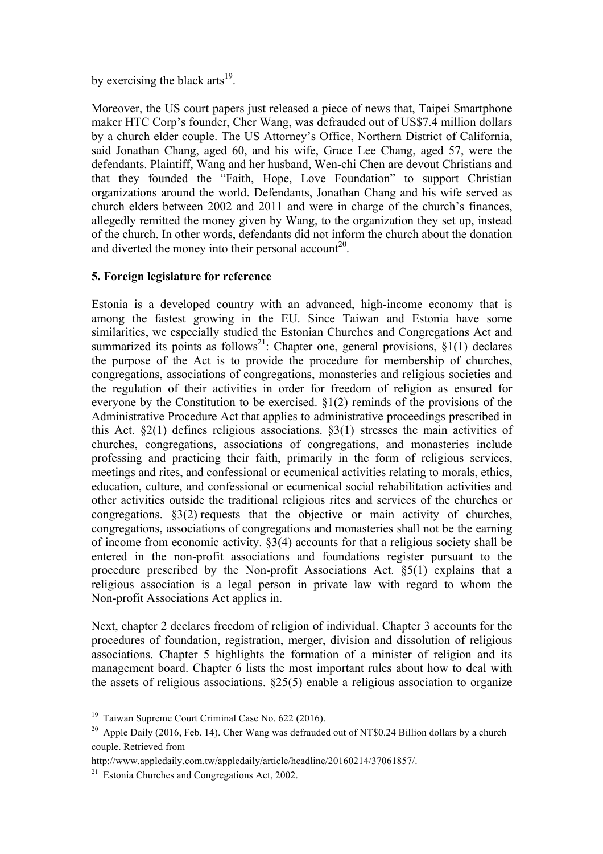by exercising the black arts $^{19}$ .

Moreover, the US court papers just released a piece of news that, Taipei Smartphone maker HTC Corp's founder, Cher Wang, was defrauded out of US\$7.4 million dollars by a church elder couple. The US Attorney's Office, Northern District of California, said Jonathan Chang, aged 60, and his wife, Grace Lee Chang, aged 57, were the defendants. Plaintiff, Wang and her husband, Wen-chi Chen are devout Christians and that they founded the "Faith, Hope, Love Foundation" to support Christian organizations around the world. Defendants, Jonathan Chang and his wife served as church elders between 2002 and 2011 and were in charge of the church's finances, allegedly remitted the money given by Wang, to the organization they set up, instead of the church. In other words, defendants did not inform the church about the donation and diverted the money into their personal account<sup>20</sup>.

## **5. Foreign legislature for reference**

Estonia is a developed country with an advanced, high-income economy that is among the fastest growing in the EU. Since Taiwan and Estonia have some similarities, we especially studied the Estonian Churches and Congregations Act and summarized its points as follows<sup>21</sup>: Chapter one, general provisions,  $\S1(1)$  declares the purpose of the Act is to provide the procedure for membership of churches, congregations, associations of congregations, monasteries and religious societies and the regulation of their activities in order for freedom of religion as ensured for everyone by the Constitution to be exercised. §1(2) reminds of the provisions of the Administrative Procedure Act that applies to administrative proceedings prescribed in this Act.  $\S2(1)$  defines religious associations.  $\S3(1)$  stresses the main activities of churches, congregations, associations of congregations, and monasteries include professing and practicing their faith, primarily in the form of religious services, meetings and rites, and confessional or ecumenical activities relating to morals, ethics, education, culture, and confessional or ecumenical social rehabilitation activities and other activities outside the traditional religious rites and services of the churches or congregations. §3(2) requests that the objective or main activity of churches, congregations, associations of congregations and monasteries shall not be the earning of income from economic activity. §3(4) accounts for that a religious society shall be entered in the non-profit associations and foundations register pursuant to the procedure prescribed by the Non-profit Associations Act. §5(1) explains that a religious association is a legal person in private law with regard to whom the Non-profit Associations Act applies in.

Next, chapter 2 declares freedom of religion of individual. Chapter 3 accounts for the procedures of foundation, registration, merger, division and dissolution of religious associations. Chapter 5 highlights the formation of a minister of religion and its management board. Chapter 6 lists the most important rules about how to deal with the assets of religious associations. §25(5) enable a religious association to organize

<sup>19</sup> Taiwan Supreme Court Criminal Case No. 622 (2016).

<sup>&</sup>lt;sup>20</sup> Apple Daily (2016, Feb. 14). Cher Wang was defrauded out of NT\$0.24 Billion dollars by a church couple. Retrieved from

http://www.appledaily.com.tw/appledaily/article/headline/20160214/37061857/.

<sup>&</sup>lt;sup>21</sup> Estonia Churches and Congregations Act, 2002.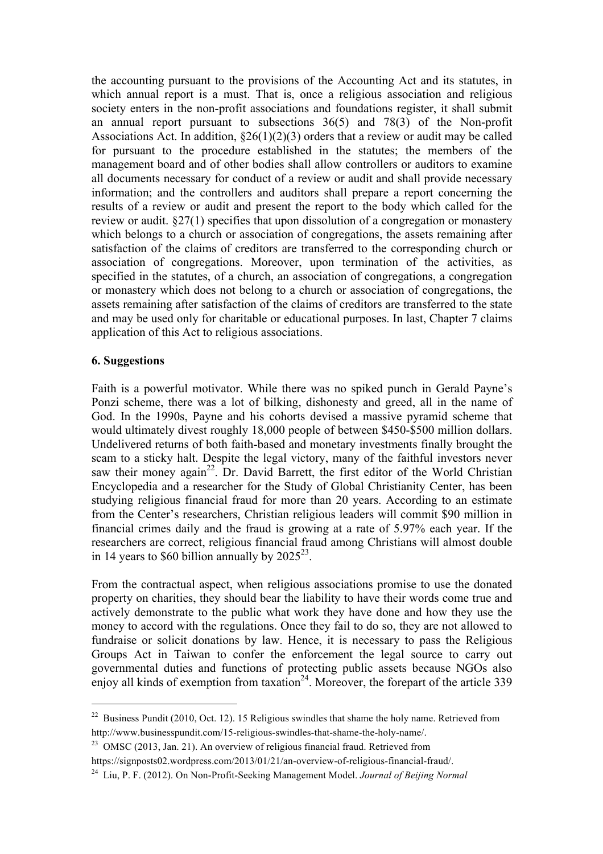the accounting pursuant to the provisions of the Accounting Act and its statutes, in which annual report is a must. That is, once a religious association and religious society enters in the non-profit associations and foundations register, it shall submit an annual report pursuant to subsections 36(5) and 78(3) of the Non-profit Associations Act. In addition,  $\S26(1)(2)(3)$  orders that a review or audit may be called for pursuant to the procedure established in the statutes; the members of the management board and of other bodies shall allow controllers or auditors to examine all documents necessary for conduct of a review or audit and shall provide necessary information; and the controllers and auditors shall prepare a report concerning the results of a review or audit and present the report to the body which called for the review or audit. §27(1) specifies that upon dissolution of a congregation or monastery which belongs to a church or association of congregations, the assets remaining after satisfaction of the claims of creditors are transferred to the corresponding church or association of congregations. Moreover, upon termination of the activities, as specified in the statutes, of a church, an association of congregations, a congregation or monastery which does not belong to a church or association of congregations, the assets remaining after satisfaction of the claims of creditors are transferred to the state and may be used only for charitable or educational purposes. In last, Chapter 7 claims application of this Act to religious associations.

#### **6. Suggestions**

 

Faith is a powerful motivator. While there was no spiked punch in Gerald Payne's Ponzi scheme, there was a lot of bilking, dishonesty and greed, all in the name of God. In the 1990s, Payne and his cohorts devised a massive pyramid scheme that would ultimately divest roughly 18,000 people of between \$450-\$500 million dollars. Undelivered returns of both faith-based and monetary investments finally brought the scam to a sticky halt. Despite the legal victory, many of the faithful investors never saw their money again<sup>22</sup>. Dr. David Barrett, the first editor of the World Christian Encyclopedia and a researcher for the Study of Global Christianity Center, has been studying religious financial fraud for more than 20 years. According to an estimate from the Center's researchers, Christian religious leaders will commit \$90 million in financial crimes daily and the fraud is growing at a rate of 5.97% each year. If the researchers are correct, religious financial fraud among Christians will almost double in 14 years to \$60 billion annually by  $2025^{23}$ .

From the contractual aspect, when religious associations promise to use the donated property on charities, they should bear the liability to have their words come true and actively demonstrate to the public what work they have done and how they use the money to accord with the regulations. Once they fail to do so, they are not allowed to fundraise or solicit donations by law. Hence, it is necessary to pass the Religious Groups Act in Taiwan to confer the enforcement the legal source to carry out governmental duties and functions of protecting public assets because NGOs also enjoy all kinds of exemption from taxation<sup>24</sup>. Moreover, the forepart of the article 339

<sup>&</sup>lt;sup>22</sup> Business Pundit (2010, Oct. 12). 15 Religious swindles that shame the holy name. Retrieved from

http://www.businesspundit.com/15-religious-swindles-that-shame-the-holy-name/.<br><sup>23</sup> OMSC (2013, Jan. 21). An overview of religious financial fraud. Retrieved from

https://signposts02.wordpress.com/2013/01/21/an-overview-of-religious-financial-fraud/.

<sup>24</sup> Liu, P. F. (2012). On Non-Profit-Seeking Management Model. *Journal of Beijing Normal*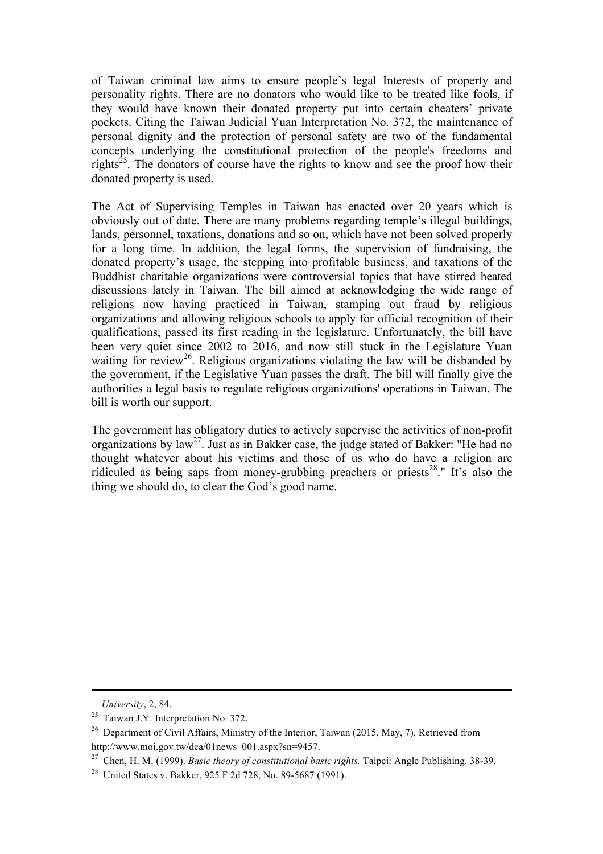of Taiwan criminal law aims to ensure people's legal Interests of property and personality rights. There are no donators who would like to be treated like fools, if they would have known their donated property put into certain cheaters' private pockets. Citing the Taiwan Judicial Yuan Interpretation No. 372, the maintenance of personal dignity and the protection of personal safety are two of the fundamental concepts underlying the constitutional protection of the people's freedoms and rights<sup>25</sup>. The donators of course have the rights to know and see the proof how their donated property is used.

The Act of Supervising Temples in Taiwan has enacted over 20 years which is obviously out of date. There are many problems regarding temple's illegal buildings, lands, personnel, taxations, donations and so on, which have not been solved properly for a long time. In addition, the legal forms, the supervision of fundraising, the donated property's usage, the stepping into profitable business, and taxations of the Buddhist charitable organizations were controversial topics that have stirred heated discussions lately in Taiwan. The bill aimed at acknowledging the wide range of religions now having practiced in Taiwan, stamping out fraud by religious organizations and allowing religious schools to apply for official recognition of their qualifications, passed its first reading in the legislature. Unfortunately, the bill have been very quiet since 2002 to 2016, and now still stuck in the Legislature Yuan waiting for review<sup>26</sup>. Religious organizations violating the law will be disbanded by the government, if the Legislative Yuan passes the draft. The bill will finally give the authorities a legal basis to regulate religious organizations' operations in Taiwan. The bill is worth our support.

The government has obligatory duties to actively supervise the activities of non-profit organizations by law27. Just as in Bakker case, the judge stated of Bakker: "He had no thought whatever about his victims and those of us who do have a religion are ridiculed as being saps from money-grubbing preachers or priests<sup>28</sup>." It's also the thing we should do, to clear the God's good name.

<u> 1989 - Johann Stoff, fransk politik (d. 1989)</u>

*University*, 2, 84.<br><sup>25</sup> Taiwan J.Y. Interpretation No. 372.<br><sup>26</sup> Department of Civil Affairs, Ministry of the Interior, Taiwan (2015, May, 7). Retrieved from http://www.moi.gov.tw/dca/01news\_001.aspx?sn=9457.

<sup>27</sup> Chen, H. M. (1999). *Basic theory of constitutional basic rights.* Taipei: Angle Publishing. 38-39.

<sup>28</sup> United States v. Bakker, 925 F.2d 728, No. 89-5687 (1991).